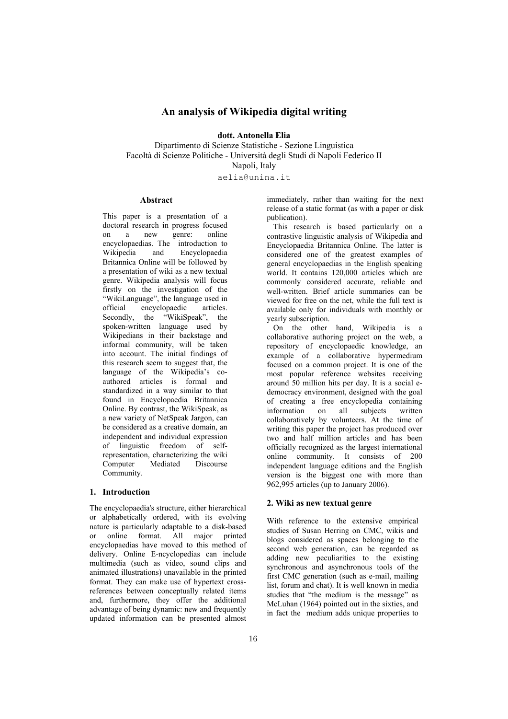# **An analysis of Wikipedia digital writing**

**dott. Antonella Elia** 

Dipartimento di Scienze Statistiche - Sezione Linguistica Facoltà di Scienze Politiche - Università degli Studi di Napoli Federico II Napoli, Italy

aelia@unina.it

### **Abstract**

This paper is a presentation of a doctoral research in progress focused on a new genre: online encyclopaedias. The introduction to<br>Wikipedia and Encyclopaedia Encyclopaedia Britannica Online will be followed by a presentation of wiki as a new textual genre. Wikipedia analysis will focus firstly on the investigation of the "WikiLanguage", the language used in<br>official encyclopaedic articles encyclopaedic Secondly, the "WikiSpeak", the spoken-written language used by Wikipedians in their backstage and informal community, will be taken into account. The initial findings of this research seem to suggest that, the language of the Wikipedia's coauthored articles is formal and standardized in a way similar to that found in Encyclopaedia Britannica Online. By contrast, the WikiSpeak, as a new variety of NetSpeak Jargon, can be considered as a creative domain, an independent and individual expression of linguistic freedom of selfrepresentation, characterizing the wiki Computer Mediated Discourse Community.

### **1. Introduction**

The encyclopaedia's structure, either hierarchical or alphabetically ordered, with its evolving nature is particularly adaptable to a disk-based or online format. All major printed encyclopaedias have moved to this method of delivery. Online E-ncyclopedias can include multimedia (such as video, sound clips and animated illustrations) unavailable in the printed format. They can make use of hypertext crossreferences between conceptually related items and, furthermore, they offer the additional advantage of being dynamic: new and frequently updated information can be presented almost

immediately, rather than waiting for the next release of a static format (as with a paper or disk publication).

This research is based particularly on a contrastive linguistic analysis of Wikipedia and Encyclopaedia Britannica Online. The latter is considered one of the greatest examples of general encyclopaedias in the English speaking world. It contains 120,000 articles which are commonly considered accurate, reliable and well-written. Brief article summaries can be viewed for free on the net, while the full text is available only for individuals with monthly or yearly subscription.

On the other hand, Wikipedia is a collaborative authoring project on the web, a repository of encyclopaedic knowledge, an example of a collaborative hypermedium focused on a common project. It is one of the most popular reference websites receiving around 50 million hits per day. It is a social edemocracy environment, designed with the goal of creating a free encyclopedia containing information on all subjects written collaboratively by volunteers. At the time of writing this paper the project has produced over two and half million articles and has been officially recognized as the largest international online community. It consists of 200 independent language editions and the English version is the biggest one with more than 962,995 articles (up to January 2006).

#### **2. Wiki as new textual genre**

With reference to the extensive empirical studies of Susan Herring on CMC, wikis and blogs considered as spaces belonging to the second web generation, can be regarded as adding new peculiarities to the existing synchronous and asynchronous tools of the first CMC generation (such as e-mail, mailing list, forum and chat). It is well known in media studies that "the medium is the message" as McLuhan (1964) pointed out in the sixties, and in fact the medium adds unique properties to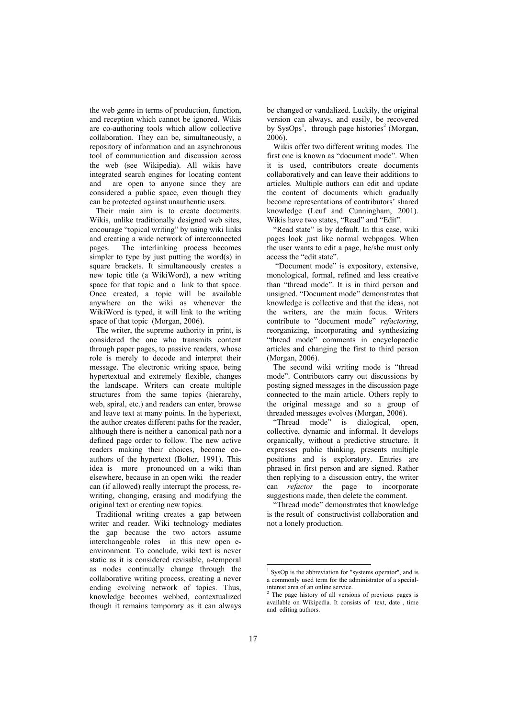the web genre in terms of production, function, and reception which cannot be ignored. Wikis are co-authoring tools which allow collective collaboration. They can be, simultaneously, a repository of information and an asynchronous tool of communication and discussion across the web (see Wikipedia). All wikis have integrated search engines for locating content and are open to anyone since they are considered a public space, even though they can be protected against unauthentic users.

Their main aim is to create documents. Wikis, unlike traditionally designed web sites, encourage "topical writing" by using wiki links and creating a wide network of interconnected pages. The interlinking process becomes simpler to type by just putting the word(s) in square brackets. It simultaneously creates a new topic title (a WikiWord), a new writing space for that topic and a link to that space. Once created, a topic will be available anywhere on the wiki as whenever the WikiWord is typed, it will link to the writing space of that topic (Morgan, 2006).

The writer, the supreme authority in print, is considered the one who transmits content through paper pages, to passive readers, whose role is merely to decode and interpret their message. The electronic writing space, being hypertextual and extremely flexible, changes the landscape. Writers can create multiple structures from the same topics (hierarchy, web, spiral, etc.) and readers can enter, browse and leave text at many points. In the hypertext, the author creates different paths for the reader, although there is neither a canonical path nor a defined page order to follow. The new active readers making their choices, become coauthors of the hypertext (Bolter, 1991). This idea is more pronounced on a wiki than elsewhere, because in an open wiki the reader can (if allowed) really interrupt the process, rewriting, changing, erasing and modifying the original text or creating new topics.

Traditional writing creates a gap between writer and reader. Wiki technology mediates the gap because the two actors assume interchangeable roles in this new open eenvironment. To conclude, wiki text is never static as it is considered revisable, a-temporal as nodes continually change through the collaborative writing process, creating a never ending evolving network of topics. Thus, knowledge becomes webbed, contextualized though it remains temporary as it can always

be changed or vandalized. Luckily, the original version can always, and easily, be recovered by SysOps<sup>1</sup>, through page histories<sup>2</sup> (Morgan, 2006).

Wikis offer two different writing modes. The first one is known as "document mode". When it is used, contributors create documents collaboratively and can leave their additions to articles. Multiple authors can edit and update the content of documents which gradually become representations of contributors' shared knowledge (Leuf and Cunningham, 2001). Wikis have two states, "Read" and "Edit".

"Read state" is by default. In this case, wiki pages look just like normal webpages. When the user wants to edit a page, he/she must only access the "edit state".

 "Document mode" is expository, extensive, monological, formal, refined and less creative than "thread mode". It is in third person and unsigned. "Document mode" demonstrates that knowledge is collective and that the ideas, not the writers, are the main focus. Writers contribute to "document mode" *refactoring*, reorganizing, incorporating and synthesizing "thread mode" comments in encyclopaedic articles and changing the first to third person (Morgan, 2006).

The second wiki writing mode is "thread mode". Contributors carry out discussions by posting signed messages in the discussion page connected to the main article. Others reply to the original message and so a group of threaded messages evolves (Morgan, 2006).

"Thread mode" is dialogical, open, collective, dynamic and informal. It develops organically, without a predictive structure. It expresses public thinking, presents multiple positions and is exploratory. Entries are phrased in first person and are signed. Rather then replying to a discussion entry, the writer can *refactor* the page to incorporate suggestions made, then delete the comment.

"Thread mode" demonstrates that knowledge is the result of constructivist collaboration and not a lonely production.

 1 SysOp is the abbreviation for "systems operator", and is a commonly used term for the administrator of a specialinterest area of an online service.

<sup>2</sup> The page history of all versions of previous pages is available on Wikipedia. It consists of text, date, time and editing authors.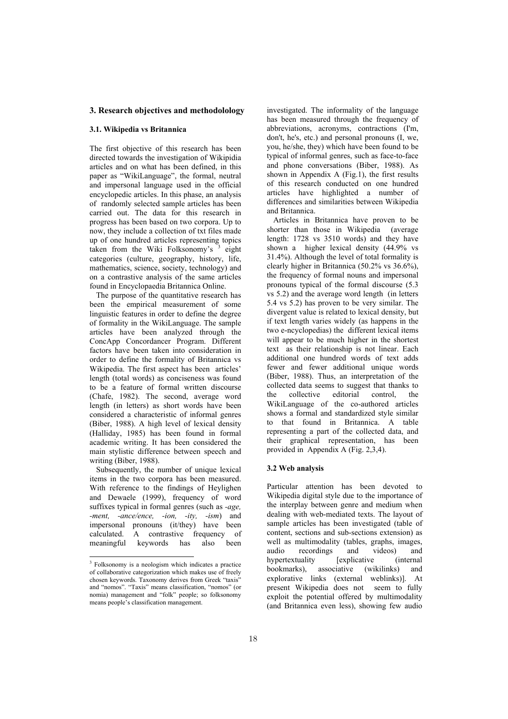# **3. Research objectives and methodolology**

#### **3.1. Wikipedia vs Britannica**

The first objective of this research has been directed towards the investigation of Wikipidia articles and on what has been defined, in this paper as "WikiLanguage", the formal, neutral and impersonal language used in the official encyclopedic articles. In this phase, an analysis of randomly selected sample articles has been carried out. The data for this research in progress has been based on two corpora. Up to now, they include a collection of txt files made up of one hundred articles representing topics taken from the Wiki Folksonomy's <sup>3</sup> eight categories (culture, geography, history, life, mathematics, science, society, technology) and on a contrastive analysis of the same articles found in Encyclopaedia Britannica Online.

The purpose of the quantitative research has been the empirical measurement of some linguistic features in order to define the degree of formality in the WikiLanguage. The sample articles have been analyzed through the ConcApp Concordancer Program. Different factors have been taken into consideration in order to define the formality of Britannica vs Wikipedia. The first aspect has been articles' length (total words) as conciseness was found to be a feature of formal written discourse (Chafe, 1982). The second, average word length (in letters) as short words have been considered a characteristic of informal genres (Biber, 1988). A high level of lexical density (Halliday, 1985) has been found in formal academic writing. It has been considered the main stylistic difference between speech and writing (Biber, 1988).

Subsequently, the number of unique lexical items in the two corpora has been measured. With reference to the findings of Heylighen and Dewaele (1999), frequency of word suffixes typical in formal genres (such as *-age, -ment, -ance/ence, -ion, -ity, -ism*) and impersonal pronouns (it/they) have been calculated. A contrastive frequency of meaningful keywords has also been

investigated. The informality of the language has been measured through the frequency of abbreviations, acronyms, contractions (I'm, don't, he's, etc.) and personal pronouns (I, we, you, he/she, they) which have been found to be typical of informal genres, such as face-to-face and phone conversations (Biber, 1988). As shown in Appendix A (Fig.1), the first results of this research conducted on one hundred articles have highlighted a number of differences and similarities between Wikipedia and Britannica.

Articles in Britannica have proven to be shorter than those in Wikipedia (average length: 1728 vs 3510 words) and they have shown a higher lexical density (44.9% vs 31.4%). Although the level of total formality is clearly higher in Britannica (50.2% vs 36.6%), the frequency of formal nouns and impersonal pronouns typical of the formal discourse (5.3 vs 5.2) and the average word length (in letters 5.4 vs 5.2) has proven to be very similar. The divergent value is related to lexical density, but if text length varies widely (as happens in the two e-ncyclopedias) the different lexical items will appear to be much higher in the shortest text as their relationship is not linear. Each additional one hundred words of text adds fewer and fewer additional unique words (Biber, 1988). Thus, an interpretation of the collected data seems to suggest that thanks to the collective editorial control, the WikiLanguage of the co-authored articles shows a formal and standardized style similar to that found in Britannica. A table representing a part of the collected data, and their graphical representation, has been provided in Appendix A (Fig. 2,3,4).

# **3.2 Web analysis**

Particular attention has been devoted to Wikipedia digital style due to the importance of the interplay between genre and medium when dealing with web-mediated texts. The layout of sample articles has been investigated (table of content, sections and sub-sections extension) as well as multimodality (tables, graphs, images, audio recordings and videos) and hypertextuality [explicative (internal bookmarks), associative (wikilinks) and explorative links (external weblinks)]. At present Wikipedia does not seem to fully exploit the potential offered by multimodality (and Britannica even less), showing few audio

 3 Folksonomy is a neologism which indicates a practice of collaborative categorization which makes use of freely chosen keywords. Taxonomy derives from Greek "taxis" and "nomos". "Taxis" means classification, "nomos" (or nomia) management and "folk" people; so folksonomy means people's classification management.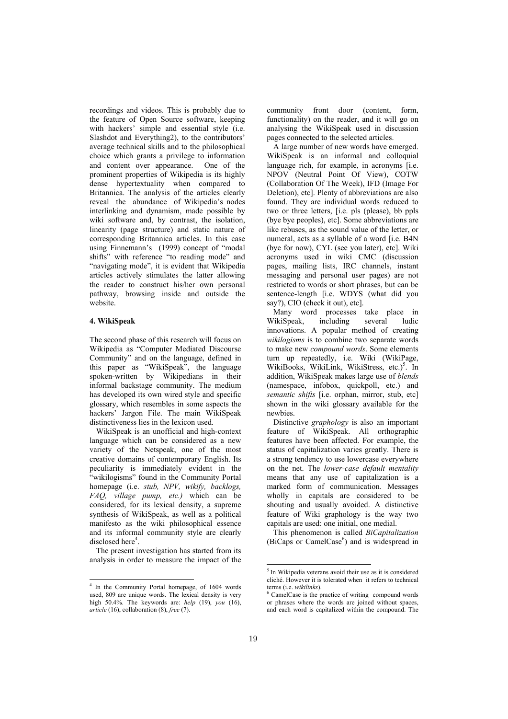recordings and videos. This is probably due to the feature of Open Source software, keeping with hackers' simple and essential style (i.e. Slashdot and Everything2), to the contributors' average technical skills and to the philosophical choice which grants a privilege to information and content over appearance. One of the prominent properties of Wikipedia is its highly dense hypertextuality when compared to Britannica. The analysis of the articles clearly reveal the abundance of Wikipedia's nodes interlinking and dynamism, made possible by wiki software and, by contrast, the isolation, linearity (page structure) and static nature of corresponding Britannica articles. In this case using Finnemann's (1999) concept of "modal shifts" with reference "to reading mode" and "navigating mode", it is evident that Wikipedia articles actively stimulates the latter allowing the reader to construct his/her own personal pathway, browsing inside and outside the website.

# **4. WikiSpeak**

The second phase of this research will focus on Wikipedia as "Computer Mediated Discourse Community" and on the language, defined in this paper as "WikiSpeak", the language spoken-written by Wikipedians in their informal backstage community. The medium has developed its own wired style and specific glossary, which resembles in some aspects the hackers' Jargon File. The main WikiSpeak distinctiveness lies in the lexicon used.

WikiSpeak is an unofficial and high-context language which can be considered as a new variety of the Netspeak, one of the most creative domains of contemporary English. Its peculiarity is immediately evident in the "wikilogisms" found in the Community Portal homepage (i.e. *stub, NPV, wikify, backlogs, FAQ, village pump, etc.)* which can be considered, for its lexical density, a supreme synthesis of WikiSpeak, as well as a political manifesto as the wiki philosophical essence and its informal community style are clearly disclosed here<sup>4</sup>.

The present investigation has started from its analysis in order to measure the impact of the

community front door (content, form, functionality) on the reader, and it will go on analysing the WikiSpeak used in discussion pages connected to the selected articles.

A large number of new words have emerged. WikiSpeak is an informal and colloquial language rich, for example, in acronyms [i.e. NPOV (Neutral Point Of View), COTW (Collaboration Of The Week), IFD (Image For Deletion), etc]. Plenty of abbreviations are also found. They are individual words reduced to two or three letters, [i.e. pls (please), bb ppls (bye bye peoples), etc]. Some abbreviations are like rebuses, as the sound value of the letter, or numeral, acts as a syllable of a word [i.e. B4N (bye for now), CYL (see you later), etc]. Wiki acronyms used in wiki CMC (discussion pages, mailing lists, IRC channels, instant messaging and personal user pages) are not restricted to words or short phrases, but can be sentence-length [i.e. WDYS (what did you say?), CIO (check it out), etc].

Many word processes take place in WikiSpeak, including several ludic innovations. A popular method of creating *wikilogisms* is to combine two separate words to make new *compound words*. Some elements turn up repeatedly, i.e. Wiki (WikiPage, WikiBooks, WikiLink, WikiStress, etc.)<sup>5</sup>. In addition, WikiSpeak makes large use of *blends* (namespace, infobox, quickpoll, etc.) and *semantic shifts* [i.e. orphan, mirror, stub, etc] shown in the wiki glossary available for the newbies.

Distinctive *graphology* is also an important feature of WikiSpeak. All orthographic features have been affected. For example, the status of capitalization varies greatly. There is a strong tendency to use lowercase everywhere on the net. The *lower-case default mentality* means that any use of capitalization is a marked form of communication. Messages wholly in capitals are considered to be shouting and usually avoided. A distinctive feature of Wiki graphology is the way two capitals are used: one initial, one medial.

This phenomenon is called *BiCapitalization* (BiCaps or CamelCase<sup>6</sup>) and is widespread in

-

 4 In the Community Portal homepage, of 1604 words used, 809 are unique words. The lexical density is very high 50.4%. The keywords are: *help* (19), *you* (16), *article* (16), collaboration (8), *free* (7).

<sup>&</sup>lt;sup>5</sup> In Wikipedia veterans avoid their use as it is considered cliché. However it is tolerated when it refers to technical terms (i.e. *wikilinks*). 6

CamelCase is the practice of writing compound words or phrases where the words are joined without spaces, and each word is capitalized within the compound. The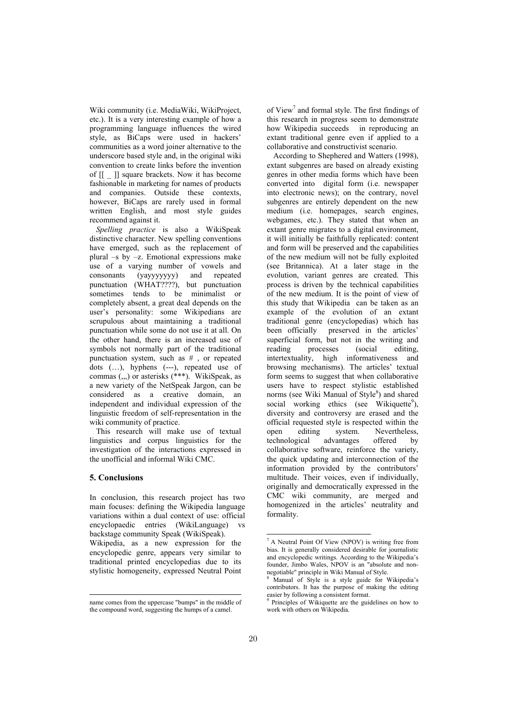Wiki community (i.e. MediaWiki, WikiProject, etc.). It is a very interesting example of how a programming language influences the wired style, as BiCaps were used in hackers' communities as a word joiner alternative to the underscore based style and, in the original wiki convention to create links before the invention of [[ \_ ]] square brackets. Now it has become fashionable in marketing for names of products and companies. Outside these contexts, however, BiCaps are rarely used in formal written English, and most style guides recommend against it.

*Spelling practice* is also a WikiSpeak distinctive character. New spelling conventions have emerged, such as the replacement of plural –s by –z. Emotional expressions make use of a varying number of vowels and consonants (yayyyyyyy) and repeated punctuation (WHAT????), but punctuation sometimes tends to be minimalist or completely absent, a great deal depends on the user's personality: some Wikipedians are scrupulous about maintaining a traditional punctuation while some do not use it at all. On the other hand, there is an increased use of symbols not normally part of the traditional punctuation system, such as # , or repeated dots (…), hyphens (---), repeated use of commas (,,,) or asterisks (\*\*\*). WikiSpeak, as a new variety of the NetSpeak Jargon, can be considered as a creative domain, an independent and individual expression of the linguistic freedom of self-representation in the wiki community of practice.

This research will make use of textual linguistics and corpus linguistics for the investigation of the interactions expressed in the unofficial and informal Wiki CMC.

# **5. Conclusions**

-

In conclusion, this research project has two main focuses: defining the Wikipedia language variations within a dual context of use: official encyclopaedic entries (WikiLanguage) backstage community Speak (WikiSpeak). Wikipedia, as a new expression for the encyclopedic genre, appears very similar to traditional printed encyclopedias due to its stylistic homogeneity, expressed Neutral Point

of View<sup>7</sup> and formal style. The first findings of this research in progress seem to demonstrate how Wikipedia succeeds in reproducing an extant traditional genre even if applied to a collaborative and constructivist scenario.

According to Shephered and Watters (1998), extant subgenres are based on already existing genres in other media forms which have been converted into digital form (i.e. newspaper into electronic news); on the contrary, novel subgenres are entirely dependent on the new medium (i.e. homepages, search engines, webgames, etc.). They stated that when an extant genre migrates to a digital environment, it will initially be faithfully replicated: content and form will be preserved and the capabilities of the new medium will not be fully exploited (see Britannica). At a later stage in the evolution, variant genres are created. This process is driven by the technical capabilities of the new medium. It is the point of view of this study that Wikipedia can be taken as an example of the evolution of an extant traditional genre (encyclopedias) which has been officially preserved in the articles' superficial form, but not in the writing and<br>reading processes (social editing, processes (social editing, intertextuality, high informativeness and browsing mechanisms). The articles' textual form seems to suggest that when collaborative users have to respect stylistic established norms (see Wiki Manual of Style<sup>8</sup>) and shared social working ethics (see Wikiquette<sup>9</sup>), diversity and controversy are erased and the official requested style is respected within the open editing system. Nevertheless, technological advantages offered by collaborative software, reinforce the variety, the quick updating and interconnection of the information provided by the contributors' multitude. Their voices, even if individually, originally and democratically expressed in the CMC wiki community, are merged and homogenized in the articles' neutrality and formality.

-

name comes from the uppercase "bumps" in the middle of the compound word, suggesting the humps of a camel.

 $7$  A Neutral Point Of View (NPOV) is writing free from bias. It is generally considered desirable for journalistic and encyclopedic writings. According to the Wikipedia's founder, Jimbo Wales, NPOV is an "absolute and nonnegotiable" principle in Wiki Manual of Style. 8

Manual of Style is a style guide for Wikipedia's contributors. It has the purpose of making the editing easier by following a consistent format.

<sup>9</sup> Principles of Wikiquette are the guidelines on how to work with others on Wikipedia.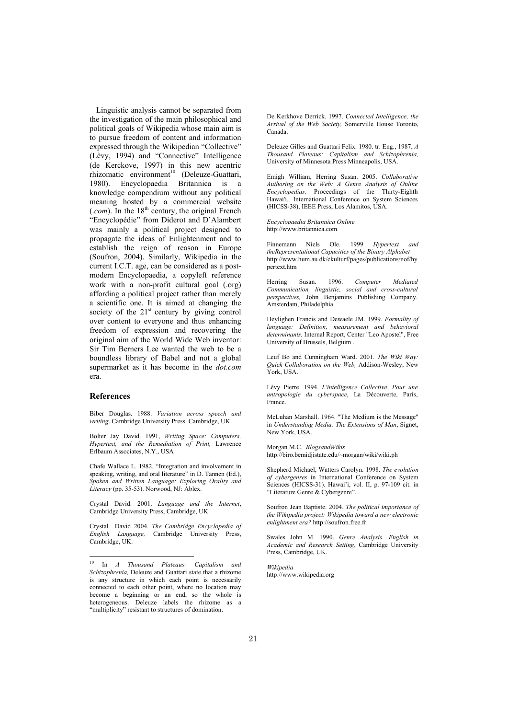Linguistic analysis cannot be separated from the investigation of the main philosophical and political goals of Wikipedia whose main aim is to pursue freedom of content and information expressed through the Wikipedian "Collective" (Lèvy, 1994) and "Connective" Intelligence (de Kerckove, 1997) in this new acentric  $r$ hizomatic environment<sup>10</sup> (Deleuze-Guattari, 1980). Encyclopaedia Britannica is a knowledge compendium without any political meaning hosted by a commercial website  $(com)$ . In the 18<sup>th</sup> century, the original French "Encyclopédie" from Diderot and D'Alambert was mainly a political project designed to propagate the ideas of Enlightenment and to establish the reign of reason in Europe (Soufron, 2004). Similarly, Wikipedia in the current I.C.T. age, can be considered as a postmodern Encyclopaedia, a copyleft reference work with a non-profit cultural goal (.org) affording a political project rather than merely a scientific one. It is aimed at changing the society of the  $21<sup>st</sup>$  century by giving control over content to everyone and thus enhancing freedom of expression and recovering the original aim of the World Wide Web inventor: Sir Tim Berners Lee wanted the web to be a boundless library of Babel and not a global supermarket as it has become in the *dot.com* era.

### **References**

-

Biber Douglas. 1988. *Variation across speech and writing*. Cambridge University Press. Cambridge, UK.

Bolter Jay David. 1991, *Writing Space: Computers, Hypertext, and the Remediation of Print,* Lawrence Erlbaum Associates, N.Y., USA

Chafe Wallace L. 1982. "Integration and involvement in speaking, writing, and oral literature" in D. Tannen (Ed.), *Spoken and Written Language: Exploring Orality and Literacy* (pp. 35-53). Norwood, NJ: Ablex.

Crystal David. 2001. *Language and the Internet*, Cambridge University Press, Cambridge, UK.

Crystal David 2004. *The Cambridge Encyclopedia of English Language,* Cambridge University Press, Cambridge, UK.

De Kerkhove Derrick. 1997. *Connected Intelligence, the Arrival of the Web Society,* Somerville House Toronto, Canada.

Deleuze Gilles and Guattari Felix. 1980. tr. Eng., 1987, *A Thousand Plateaus: Capitalism and Schizophrenia,*  University of Minnesota Press Minneapolis, USA.

Emigh William, Herring Susan. 2005. *Collaborative Authoring on the Web: A Genre Analysis of Online Encyclopedias.* Proceedings of the Thirty-Eighth Hawai'i.*,* International Conference on System Sciences (HICSS-38), IEEE Press, Los Alamitos, USA.

*Encyclopaedia Britannica Online*  http://www.britannica.com

Finnemann Niels Ole. 1999 *Hypertext and theRepresentational Capacities of the Binary Alphabet* http://www.hum.au.dk/ckulturf/pages/publications/nof/hy pertext.htm

Herring Susan. 1996. *Computer Mediated Communication, linguistic, social and cross-cultural perspectives,* John Benjamins Publishing Company. Amsterdam, Philadelphia.

Heylighen Francis and Dewaele JM. 1999. *Formality of language: Definition, measurement and behavioral determinants.* Internal Report, Center "Leo Apostel", Free University of Brussels, Belgium .

Leuf Bo and Cunningham Ward. 2001. *The Wiki Way: Quick Collaboration on the Web,* Addison-Wesley, New York, USA.

Lèvy Pierre. 1994. *L'intelligence Collective. Pour une antropologie du cyberspace*, La Découverte, Paris, France.

McLuhan Marshall. 1964. "The Medium is the Message" in *Understanding Media: The Extensions of Man*, Signet, New York, USA.

Morgan M.C. *BlogsandWikis* http://biro.bemidjistate.edu/~morgan/wiki/wiki.ph

Shepherd Michael, Watters Carolyn. 1998. *The evolution of cybergenres* in International Conference on System Sciences (HICSS-31). Hawai'i, vol. II, p. 97-109 cit. in "Literature Genre & Cybergenre".

Soufron Jean Baptiste. 2004. *The political importance of the Wikipedia project: Wikipedia toward a new electronic enlightment era?* http://soufron.free.fr

Swales John M. 1990. *Genre Analysis. English in Academic and Research Setting*, Cambridge University Press, Cambridge, UK.

*Wikipedia*  http://www.wikipedia.org

<sup>10</sup> In *A Thousand Plateaus: Capitalism and Schizophrenia,* Deleuze and Guattari state that a rhizome is any structure in which each point is necessarily connected to each other point, where no location may become a beginning or an end, so the whole is heterogeneous. Deleuze labels the rhizome as a "multiplicity" resistant to structures of domination.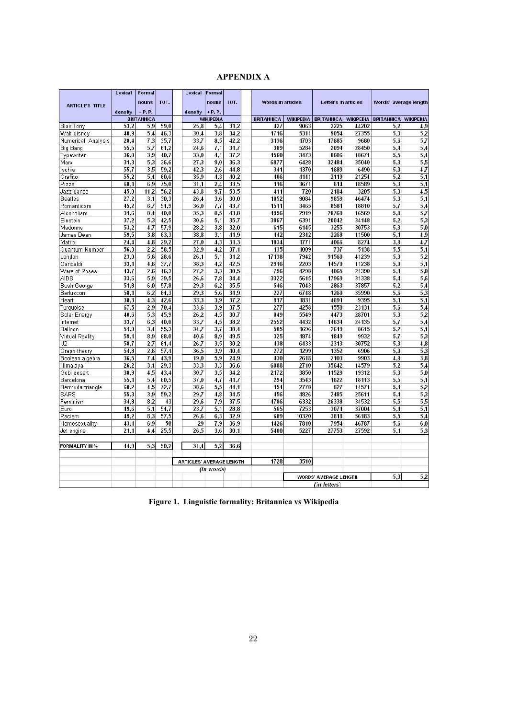| APPENDIX A |  |
|------------|--|
|------------|--|

|                        | <b>Lexical</b> | <b>Formal</b>     |              | <b>Lexical</b>                      | Formal           |              |                          |                  |                            |                  |                       |                  |
|------------------------|----------------|-------------------|--------------|-------------------------------------|------------------|--------------|--------------------------|------------------|----------------------------|------------------|-----------------------|------------------|
|                        |                | nouns             | TOT.         |                                     | nouns            | TOT.         | <b>Words in articles</b> |                  | <b>Letters in articles</b> |                  | Words' average length |                  |
| <b>ARTICLE'S TITLE</b> |                |                   |              |                                     |                  |              |                          |                  |                            |                  |                       |                  |
|                        | density        | $+P.P.$           |              | density $+P.P.$                     |                  |              |                          |                  |                            |                  |                       |                  |
|                        |                | <b>BRITANNICA</b> |              |                                     | <b>WIKIPEDIA</b> |              | <b>BRITANNICA</b>        | <b>WIKIPEDIA</b> | <b>BRITANNICA</b>          | <b>WIKIPEDIA</b> | <b>BRITANNICA</b>     | <b>WIKIPEDIA</b> |
| <b>Blair Tony</b>      | 53.2<br>40.9   | 5,9<br>5.4        | 59,0<br>46.3 | 25,8<br>30.4                        | 5,4<br>3.8       | 31,2<br>34.2 | 427<br>1716              | 9063<br>5311     | 2225<br>9054               | 44202<br>27355   | 5.2<br>5.3            | 4,9<br>5,2       |
| Walt disney            |                |                   |              |                                     |                  |              |                          |                  |                            |                  |                       |                  |
| Numerical Analysis     | 28.4<br>55.5   | 7.3<br>5.7        | 35,7         | 33,7<br>24.6                        | 8,5<br>7.1       | 42,2<br>31.7 | 3136<br>389              | 1703<br>5284     | 17685<br>2094              | 9680<br>28450    | 5.6<br>5.4            | 5,7<br>5.4       |
| <b>Big Bang</b>        | 36,8           | 3,9               | 61,2<br>40.7 | 33,0                                | 4.1              | 37.2         | 1560                     | 3473             | 8606                       | 18671            | 5,5                   | 5,4              |
| Typewriter             | 31.3           | 5,3               | 36,6         | 27,3                                | 9,0              | 36.3         | 6077                     | 6428             | 32484                      | 35040            | 5,3                   | 5,5              |
| Marx<br>Ischia         | 55,7           | 3,5               | 59,2         | 42,3                                | 2,6              | 44,8         | 341                      | 1370             | 1689                       | 6490             | 5,0                   | 4,7              |
| Graffito               | 55,2           | 5.4               | 60.6         | 35,9                                | 4.3              | 40.2         | 406                      | 4141             | 2119                       | 21254            | 5,2                   | 5,1              |
| Pizza                  | 68.1           | 6,9               | 75.0         | 31.1                                | 2.4              | 33,5         | 116                      | 3671             | 614                        | 18589            | 5.3                   | 5,1              |
| Jazz dance             | 45.0           | 11,2              | 56,2         | 43.8                                | 9.7              | 53,5         | 411                      | 720              | 2184                       | 3205             | 5,3                   | 4,5              |
| <b>Beatles</b>         | 27.2           | 3.1               | 30.3         | 26.4                                | 3.6              | 30.0         | 1852                     | 9084             | 9859                       | 46474            | 5.3                   | 5.1              |
| Romanticsm             | 45,2           | 6,7               | 51,9         | 36,0                                | 7,7              | 43,7         | 1511                     | 3465             | 8581                       | 18810            | 5,7                   | 5,4              |
| Alcoholism             | 31,6           | 8,4               | 40,0         | 35,3                                | 8,5              | 43,8         | 4996                     | 2919             | 28760                      | 16569            | 5,8                   | 5,7              |
| Einstein               | 37,2           | 5.3               | 42,5         | 30.6                                | 5.1              | 35,7         | 3867                     | 6391             | 20042                      | 34148            | 5.2                   | 5,3              |
| Madonna                | 53,2           | 4.7               | 57,9         | 28,2                                | 3,8              | 32,0         | 615                      | 6145             | 3255                       | 30753            | 5,3                   | 5,0              |
| James Dean             | 59,5           | 3,8               | 63,3         | 38,8                                | 3,1              | 41,9         | 442                      | 2342             | 2268                       | 11500            | 5,1                   | 4,9              |
| Matrix                 | 24.4           | 4.8               | 29.2         | 27.0                                | 4,3              | 31,3         | 1034                     | 1771             | 4066                       | 8274             | 3.9                   | 4,7              |
| Quantum Number         | 56,3           | 2.2               | 58,5         | 32,9                                | 4,2              | 37,1         | 135                      | 1009             | 737                        | 5138             | 5,5                   | 5.1              |
| London                 | 23.0           | 5.6               | 28.6         | 26.1                                | 5.1              | 31.2         | 17138                    | 7942             | 91560                      | 41239            | 5.3                   | 5,2              |
| Garibaldi              | 33.1           | 4,6               | 37,7         | 38.3                                | 4.2              | 42,5         | 2916                     | 2203             | 14570                      | 11238            | 5,0                   | 5,1              |
| Wars of Roses          | 43,7           | 2,6               | 46,3         | 27,2                                | 3,3              | 30,5         | 796                      | 4298             | 4065                       | 21390            | 5,1                   | 5,0              |
| <b>AIDS</b>            | 33.6           | 5,9               | 39.5         | 26,6                                | 7.8              | 34.4         | 3322                     | 5615             | 17969                      | 31338            | 5,4                   | 5,6              |
| <b>Bush George</b>     | 51,8           | 6.0               | 57,8         | 29.3                                | 6,2              | 35,5         | 546                      | 7043             | 2863                       | 37857            | 5,2                   | 5,4              |
| Berlusconi             | 58,1           | 6,2               | 64,3         | 29,3                                | 5,6              | 34,9         | 227                      | 6748             | 1260                       | 35990            | 5,6                   | 5,3              |
| Heart                  | 38.3           | 4.3               | 42.6         | 33.3                                | 3.9              | 37,2         | 917                      | 1831             | 4691                       | 9395             | 5.1                   | 5.1              |
| Turquoise              | 67.5           | 2.9               | 70.4         | 33,6                                | 3,9              | 37,5         | 277                      | 4258             | 1550                       | 23131            | 5,6                   | 5,4              |
| Solar Energy           | 40.6           | 5.3               | 45.9         | 26.2                                | 4.5              | 30.7         | 849                      | 5549             | 4473                       | 28701            | 5,3                   | 5,2              |
| Internet               | 33,7           | 6.3               | 40.0         | 33,7                                | 4,5              | 38,2         | 2552                     | 4432             | 14634                      | 24135            | 5,7                   | 5,4              |
| Balloon                | 51,9           | 3,4               | 55,3         | 34,7                                | 3,7              | 38,4         | 505                      | 1696             | 2619                       | 8615             | 5,2                   | 5,1              |
| Virtual Reality        | 59.1           | 8.9               | 68,0         | 40,6                                | 8.9              | 49,5         | 325                      | 1874             | 1849                       | 9932             | 5.7                   | 5,3              |
| U <sub>2</sub>         | 58,7           | 2,7               | 61.4         | 26,7                                | 3,5              | 30,2         | 438                      | 6433             | 2313                       | 30752            | 5,3                   | 4,8              |
| Graph theory           | 54,8           | 2.6               | 57,4         | 36,5                                | 3,9              | 40,4         | 272                      | 1299             | 1352                       | 6906             | 5,0                   | 5,3              |
| Boolean algebra        | 36.5           | 7.4               | 43.9         | 19.0                                | 5.9              | 24.9         | 430                      | 2618             | 2103                       | 9903             | 4.9                   | 3,8              |
| Himalaya               | 26,2           | 3.1               | 29.3         | 33,3                                | 3.3              | 36.6         | 6808                     | 2710             | 35642                      | 14579            | 5.2                   | 5,4              |
| Gobi desert            | 38.9           | 4.5               | 43.4         | 30.7                                | 3.5              | 34.2         | 2172                     | 3850             | 11529                      | 19312            | 5,3                   | 5.0              |
| Barcelona              | 55.1           | 5.4               | 60,5         | 37,0                                | 4.7              | 41.7         | 294                      | 3543             | 1622                       | 18113            | 5,5                   | 5,1              |
| Bermuda triangle       | 68,2           | 4.5               | 72,7         | 38,6                                | 5,5              | 44.1         | 154                      | 2778             | 827                        | 14571            | 5,4                   | 5,2              |
| SARS                   | 55,3           | 3,9               | 59,2         | 29,7                                | 4.8              | 34,5         | 456                      | 4826             | 2485                       | 25611            | 5,4                   | 5,3              |
| Feminism               | 34.8           | 8.2               | 43           | 29.6                                | 7,9              | 37,5         | 4786                     | 6332             | 26338                      | 34532            | 5,5                   | 5,5              |
| Euro                   | 49,6           | 5,1               | 54,7         | 23,7                                | 5,1              | 28,8         | 565                      | 7253             | 3074                       | 37004            | 5,4                   | 5,1              |
| Racism                 | 49.2           | 8.3               | 57,5         | 26.6                                | 6.3              | 32,9         | 689                      | 10320            | 3818                       | 56183            | 5,5                   | 5.4              |
| Homosexuality          | 43.1           | 6.9               | 50           | 29                                  | 7.9              | 36,9         | 1426                     | 7810             | 7954                       | 46787            | 5.6                   | 6,0              |
| Jet engine             | 21,1           | 4,4               | 25,5         | 26,5                                | 3,6              | 30,1         | 5400                     | 5227             | 27753                      | 27592            | 5,1                   | 5,3              |
| FORMALITY IN %         | 44.9           | 5.3               | 50.2         | 31.4                                | 5.2              | 36,6         |                          |                  |                            |                  |                       |                  |
|                        |                |                   |              | <b>ARTICLES' AVERAGE LENGTH</b>     |                  | 1728         | 3510                     |                  |                            |                  |                       |                  |
|                        |                |                   |              |                                     | (in words)       |              |                          |                  |                            |                  |                       |                  |
|                        |                |                   |              | 5.3<br><b>WORDS' AVERAGE LENGTH</b> |                  |              |                          |                  |                            | 5,2              |                       |                  |
|                        |                |                   |              |                                     |                  |              |                          |                  | (in letters)               |                  |                       |                  |

**Figure 1. Linguistic formality: Britannica vs Wikipedia**